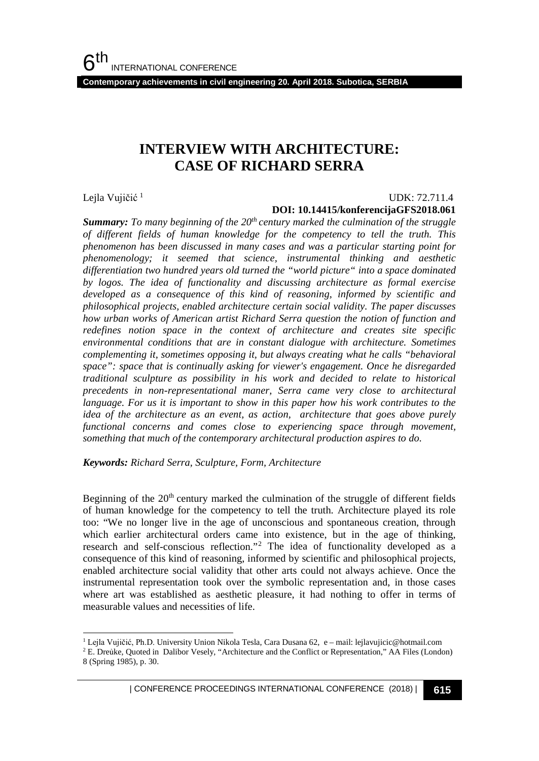**Contemporary achievements in civil engineering 20. April 2018. Subotica, SERBIA**

# **INTERVIEW WITH ARCHITECTURE: CASE OF RICHARD SERRA**

Lejla Vujičić<sup>[1](#page-0-0)</sup>

#### UDK: 72.711.4

#### **DOI: 10.14415/konferencijaGFS2018.061**

**Summary:** To many beginning of the 20<sup>th</sup> century marked the culmination of the struggle *of different fields of human knowledge for the competency to tell the truth. This phenomenon has been discussed in many cases and was a particular starting point for phenomenology; it seemed that science, instrumental thinking and aesthetic differentiation two hundred years old turned the "world picture" into a space dominated by logos. The idea of functionality and discussing architecture as formal exercise developed as a consequence of this kind of reasoning, informed by scientific and philosophical projects, enabled architecture certain social validity. The paper discusses how urban works of American artist Richard Serra question the notion of function and redefines notion space in the context of architecture and creates site specific environmental conditions that are in constant dialogue with architecture. Sometimes complementing it, sometimes opposing it, but always creating what he calls "behavioral space": space that is continually asking for viewer's engagement. Once he disregarded traditional sculpture as possibility in his work and decided to relate to historical precedents in non-representational maner, Serra came very close to architectural language. For us it is important to show in this paper how his work contributes to the idea of the architecture as an event, as action, architecture that goes above purely functional concerns and comes close to experiencing space through movement, something that much of the contemporary architectural production aspires to do.*

*Keywords: Richard Serra, Sculpture, Form, Architecture*

Beginning of the  $20<sup>th</sup>$  century marked the culmination of the struggle of different fields of human knowledge for the competency to tell the truth. Architecture played its role too: "We no longer live in the age of unconscious and spontaneous creation, through which earlier architectural orders came into existence, but in the age of thinking, research and self-conscious reflection."[2](#page-0-1) The idea of functionality developed as a consequence of this kind of reasoning, informed by scientific and philosophical projects, enabled architecture social validity that other arts could not always achieve. Once the instrumental representation took over the symbolic representation and, in those cases where art was established as aesthetic pleasure, it had nothing to offer in terms of measurable values and necessities of life.

<sup>&</sup>lt;sup>1</sup> Lejla Vujičić, Ph.D. University Union Nikola Tesla, Cara Dusana 62, e – mail: lejlavujicic@hotmail.com

<span id="page-0-1"></span><span id="page-0-0"></span><sup>2</sup> E. Dreủke, Quoted in Dalibor Vesely, "Architecture and the Conflict or Representation," AA Files (London) 8 (Spring 1985), p. 30.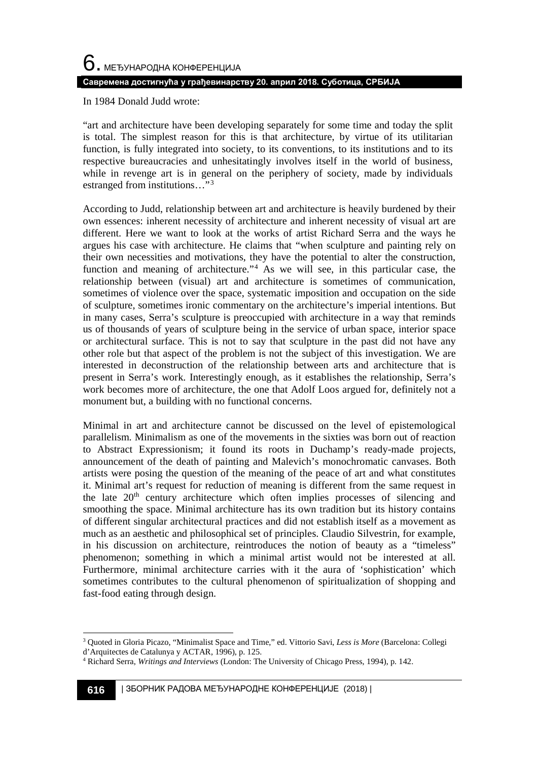In 1984 Donald Judd wrote:

"art and architecture have been developing separately for some time and today the split is total. The simplest reason for this is that architecture, by virtue of its utilitarian function, is fully integrated into society, to its conventions, to its institutions and to its respective bureaucracies and unhesitatingly involves itself in the world of business, while in revenge art is in general on the periphery of society, made by individuals estranged from institutions…"[3](#page-1-0)

According to Judd, relationship between art and architecture is heavily burdened by their own essences: inherent necessity of architecture and inherent necessity of visual art are different. Here we want to look at the works of artist Richard Serra and the ways he argues his case with architecture. He claims that "when sculpture and painting rely on their own necessities and motivations, they have the potential to alter the construction, function and meaning of architecture."[4](#page-1-1) As we will see, in this particular case, the relationship between (visual) art and architecture is sometimes of communication, sometimes of violence over the space, systematic imposition and occupation on the side of sculpture, sometimes ironic commentary on the architecture's imperial intentions. But in many cases, Serra's sculpture is preoccupied with architecture in a way that reminds us of thousands of years of sculpture being in the service of urban space, interior space or architectural surface. This is not to say that sculpture in the past did not have any other role but that aspect of the problem is not the subject of this investigation. We are interested in deconstruction of the relationship between arts and architecture that is present in Serra's work. Interestingly enough, as it establishes the relationship, Serra's work becomes more of architecture, the one that Adolf Loos argued for, definitely not a monument but, a building with no functional concerns.

Minimal in art and architecture cannot be discussed on the level of epistemological parallelism. Minimalism as one of the movements in the sixties was born out of reaction to Abstract Expressionism; it found its roots in Duchamp's ready-made projects, announcement of the death of painting and Malevich's monochromatic canvases. Both artists were posing the question of the meaning of the peace of art and what constitutes it. Minimal art's request for reduction of meaning is different from the same request in the late  $20<sup>th</sup>$  century architecture which often implies processes of silencing and smoothing the space. Minimal architecture has its own tradition but its history contains of different singular architectural practices and did not establish itself as a movement as much as an aesthetic and philosophical set of principles. Claudio Silvestrin, for example, in his discussion on architecture, reintroduces the notion of beauty as a "timeless" phenomenon; something in which a minimal artist would not be interested at all. Furthermore, minimal architecture carries with it the aura of 'sophistication' which sometimes contributes to the cultural phenomenon of spiritualization of shopping and fast-food eating through design.

<span id="page-1-0"></span> <sup>3</sup> Quoted in Gloria Picazo, "Minimalist Space and Time," ed. Vittorio Savi, *Less is More* (Barcelona: Collegi d'Arquitectes de Catalunya y ACTAR, 1996), p. 125.

<span id="page-1-1"></span><sup>4</sup> Richard Serra, *Writings and Interviews* (London: The University of Chicago Press, 1994), p. 142.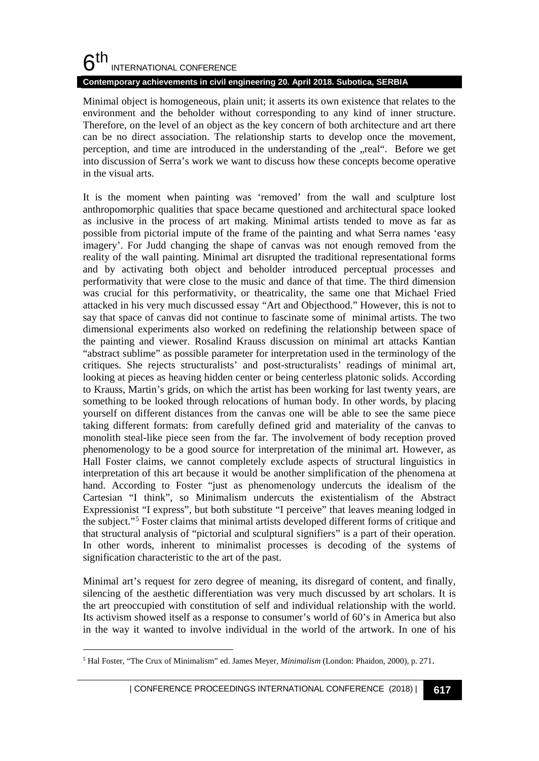# $6<sup>th</sup>$ INTERNATIONAL CONFERENCE

#### **Contemporary achievements in civil engineering 20. April 2018. Subotica, SERBIA**

Minimal object is homogeneous, plain unit; it asserts its own existence that relates to the environment and the beholder without corresponding to any kind of inner structure. Therefore, on the level of an object as the key concern of both architecture and art there can be no direct association. The relationship starts to develop once the movement, perception, and time are introduced in the understanding of the "real". Before we get into discussion of Serra's work we want to discuss how these concepts become operative in the visual arts.

It is the moment when painting was 'removed' from the wall and sculpture lost anthropomorphic qualities that space became questioned and architectural space looked as inclusive in the process of art making. Minimal artists tended to move as far as possible from pictorial impute of the frame of the painting and what Serra names 'easy imagery'. For Judd changing the shape of canvas was not enough removed from the reality of the wall painting. Minimal art disrupted the traditional representational forms and by activating both object and beholder introduced perceptual processes and performativity that were close to the music and dance of that time. The third dimension was crucial for this performativity, or theatricality, the same one that Michael Fried attacked in his very much discussed essay "Art and Objecthood." However, this is not to say that space of canvas did not continue to fascinate some of minimal artists. The two dimensional experiments also worked on redefining the relationship between space of the painting and viewer. Rosalind Krauss discussion on minimal art attacks Kantian "abstract sublime" as possible parameter for interpretation used in the terminology of the critiques. She rejects structuralists' and post-structuralists' readings of minimal art, looking at pieces as heaving hidden center or being centerless platonic solids. According to Krauss, Martin's grids, on which the artist has been working for last twenty years, are something to be looked through relocations of human body. In other words, by placing yourself on different distances from the canvas one will be able to see the same piece taking different formats: from carefully defined grid and materiality of the canvas to monolith steal-like piece seen from the far. The involvement of body reception proved phenomenology to be a good source for interpretation of the minimal art. However, as Hall Foster claims, we cannot completely exclude aspects of structural linguistics in interpretation of this art because it would be another simplification of the phenomena at hand. According to Foster "just as phenomenology undercuts the idealism of the Cartesian "I think", so Minimalism undercuts the existentialism of the Abstract Expressionist "I express", but both substitute "I perceive" that leaves meaning lodged in the subject."[5](#page-2-0) Foster claims that minimal artists developed different forms of critique and that structural analysis of "pictorial and sculptural signifiers" is a part of their operation. In other words, inherent to minimalist processes is decoding of the systems of signification characteristic to the art of the past.

Minimal art's request for zero degree of meaning, its disregard of content, and finally, silencing of the aesthetic differentiation was very much discussed by art scholars. It is the art preoccupied with constitution of self and individual relationship with the world. Its activism showed itself as a response to consumer's world of 60's in America but also in the way it wanted to involve individual in the world of the artwork. In one of his

<span id="page-2-0"></span> <sup>5</sup> Hal Foster, "The Crux of Minimalism" ed. James Meyer, *Minimalism* (London: Phaidon, 2000), p. 271.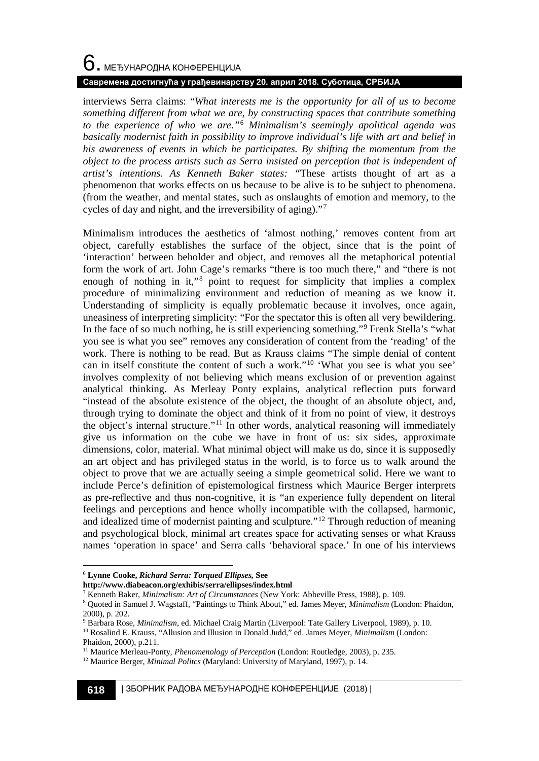# $6$ . међународна конференција **Савремена достигнућа у грађевинарству 20. април 2018. Суботица, СРБИЈА**

interviews Serra claims: "*What interests me is the opportunity for all of us to become something different from what we are, by constructing spaces that contribute something to the experience of who we are."*[6](#page-3-0) *Minimalism's seemingly apolitical agenda was basically modernist faith in possibility to improve individual's life with art and belief in his awareness of events in which he participates. By shifting the momentum from the object to the process artists such as Serra insisted on perception that is independent of artist's intentions. As Kenneth Baker states: "*These artists thought of art as a phenomenon that works effects on us because to be alive is to be subject to phenomena. (from the weather, and mental states, such as onslaughts of emotion and memory, to the cycles of day and night, and the irreversibility of aging)."[7](#page-3-1)

Minimalism introduces the aesthetics of 'almost nothing,' removes content from art object, carefully establishes the surface of the object, since that is the point of 'interaction' between beholder and object, and removes all the metaphorical potential form the work of art. John Cage's remarks "there is too much there," and "there is not enough of nothing in it,"<sup>[8](#page-3-2)</sup> point to request for simplicity that implies a complex procedure of minimalizing environment and reduction of meaning as we know it. Understanding of simplicity is equally problematic because it involves, once again, uneasiness of interpreting simplicity: "For the spectator this is often all very bewildering. In the face of so much nothing, he is still experiencing something."[9](#page-3-3) Frenk Stella's "what you see is what you see" removes any consideration of content from the 'reading' of the work. There is nothing to be read. But as Krauss claims "The simple denial of content can in itself constitute the content of such a work."[10](#page-3-4) 'What you see is what you see' involves complexity of not believing which means exclusion of or prevention against analytical thinking. As Merleay Ponty explains, analytical reflection puts forward "instead of the absolute existence of the object, the thought of an absolute object, and, through trying to dominate the object and think of it from no point of view, it destroys the object's internal structure."[11](#page-3-5) In other words, analytical reasoning will immediately give us information on the cube we have in front of us: six sides, approximate dimensions, color, material. What minimal object will make us do, since it is supposedly an art object and has privileged status in the world, is to force us to walk around the object to prove that we are actually seeing a simple geometrical solid. Here we want to include Perce's definition of epistemological firstness which Maurice Berger interprets as pre-reflective and thus non-cognitive, it is "an experience fully dependent on literal feelings and perceptions and hence wholly incompatible with the collapsed, harmonic, and idealized time of modernist painting and sculpture."[12](#page-3-6) Through reduction of meaning and psychological block, minimal art creates space for activating senses or what Krauss names 'operation in space' and Serra calls 'behavioral space.' In one of his interviews

<span id="page-3-1"></span>**http://www.diabeacon.org/exhibis/serra/ellipses/index.html**

<sup>7</sup> Kenneth Baker, *Minimalism: Art of Circumstances* (New York: Abbeville Press, 1988), p. 109.

<span id="page-3-0"></span> <sup>6</sup> **Lynne Cooke,** *Richard Serra: Torqued Ellipses,* **See** 

<span id="page-3-2"></span><sup>8</sup> Quoted in Samuel J. Wagstaff, "Paintings to Think About," ed. James Meyer, *Minimalism* (London: Phaidon, 2000), p. 202.

<span id="page-3-3"></span><sup>9</sup> Barbara Rose, *Minimalism*, ed. Michael Craig Martin (Liverpool: Tate Gallery Liverpool, 1989), p. 10. <sup>10</sup> Rosalind E. Krauss, "Allusion and Illusion in Donald Judd," ed. James Meyer, *Minimalism* (London:

<span id="page-3-4"></span>Phaidon, 2000), p.211.

<span id="page-3-5"></span><sup>&</sup>lt;sup>11</sup> Maurice Merleau-Ponty, *Phenomenology of Perception* (London: Routledge, 2003), p. 235.

<span id="page-3-6"></span><sup>12</sup> Maurice Berger, *Minimal Politcs* (Maryland: University of Maryland, 1997), p. 14.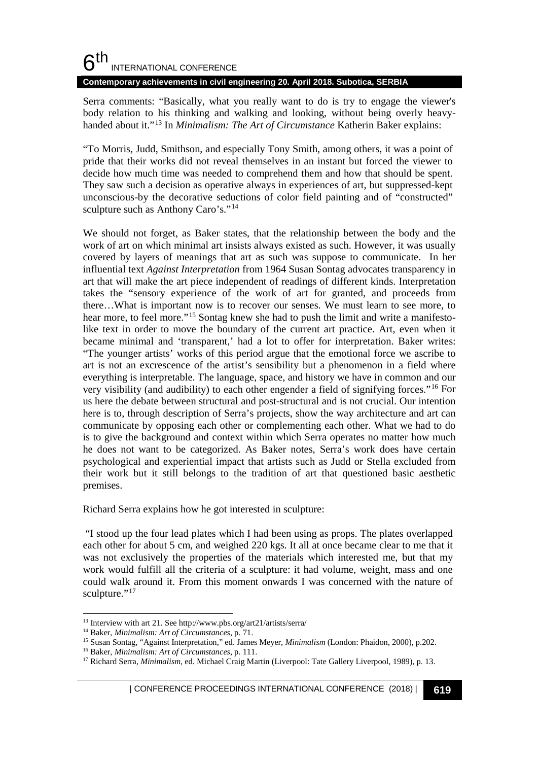#### **Contemporary achievements in civil engineering 20. April 2018. Subotica, SERBIA**

Serra comments: "Basically, what you really want to do is try to engage the viewer's body relation to his thinking and walking and looking, without being overly heavyhanded about it."[13](#page-4-0) In *Minimalism: The Art of Circumstance* Katherin Baker explains:

"To Morris, Judd, Smithson, and especially Tony Smith, among others, it was a point of pride that their works did not reveal themselves in an instant but forced the viewer to decide how much time was needed to comprehend them and how that should be spent. They saw such a decision as operative always in experiences of art, but suppressed-kept unconscious-by the decorative seductions of color field painting and of "constructed" sculpture such as Anthony Caro's."<sup>[14](#page-4-1)</sup>

We should not forget, as Baker states, that the relationship between the body and the work of art on which minimal art insists always existed as such. However, it was usually covered by layers of meanings that art as such was suppose to communicate. In her influential text *Against Interpretation* from 1964 Susan Sontag advocates transparency in art that will make the art piece independent of readings of different kinds. Interpretation takes the "sensory experience of the work of art for granted, and proceeds from there…What is important now is to recover our senses. We must learn to see more, to hear more, to feel more."<sup>[15](#page-4-2)</sup> Sontag knew she had to push the limit and write a manifestolike text in order to move the boundary of the current art practice. Art, even when it became minimal and 'transparent,' had a lot to offer for interpretation. Baker writes: "The younger artists' works of this period argue that the emotional force we ascribe to art is not an excrescence of the artist's sensibility but a phenomenon in a field where everything is interpretable. The language, space, and history we have in common and our very visibility (and audibility) to each other engender a field of signifying forces."[16](#page-4-3) For us here the debate between structural and post-structural and is not crucial. Our intention here is to, through description of Serra's projects, show the way architecture and art can communicate by opposing each other or complementing each other. What we had to do is to give the background and context within which Serra operates no matter how much he does not want to be categorized. As Baker notes, Serra's work does have certain psychological and experiential impact that artists such as Judd or Stella excluded from their work but it still belongs to the tradition of art that questioned basic aesthetic premises.

Richard Serra explains how he got interested in sculpture:

"I stood up the four lead plates which I had been using as props. The plates overlapped each other for about 5 cm, and weighed 220 kgs. It all at once became clear to me that it was not exclusively the properties of the materials which interested me, but that my work would fulfill all the criteria of a sculpture: it had volume, weight, mass and one could walk around it. From this moment onwards I was concerned with the nature of sculpture."<sup>[17](#page-4-4)</sup>

<span id="page-4-0"></span> <sup>13</sup> Interview with art 21. See http://www.pbs.org/art21/artists/serra/

<span id="page-4-1"></span><sup>14</sup> Baker, *Minimalism: Art of Circumstances*, p. 71.

<span id="page-4-2"></span><sup>15</sup> Susan Sontag, "Against Interpretation," ed. James Meyer, *Minimalism* (London: Phaidon, 2000), p.202.

<span id="page-4-3"></span><sup>16</sup> Baker, *Minimalism: Art of Circumstances*, p. 111.

<span id="page-4-4"></span><sup>&</sup>lt;sup>17</sup> Richard Serra, *Minimalism*, ed. Michael Craig Martin (Liverpool: Tate Gallery Liverpool, 1989), p. 13.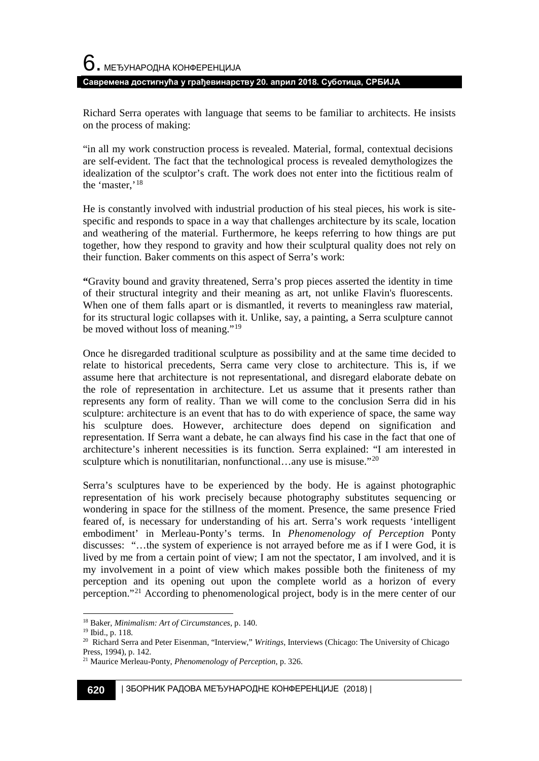Richard Serra operates with language that seems to be familiar to architects. He insists on the process of making:

"in all my work construction process is revealed. Material, formal, contextual decisions are self-evident. The fact that the technological process is revealed demythologizes the idealization of the sculptor's craft. The work does not enter into the fictitious realm of the 'master,'[18](#page-5-0)

He is constantly involved with industrial production of his steal pieces, his work is sitespecific and responds to space in a way that challenges architecture by its scale, location and weathering of the material. Furthermore, he keeps referring to how things are put together, how they respond to gravity and how their sculptural quality does not rely on their function. Baker comments on this aspect of Serra's work:

**"**Gravity bound and gravity threatened, Serra's prop pieces asserted the identity in time of their structural integrity and their meaning as art, not unlike Flavin's fluorescents. When one of them falls apart or is dismantled, it reverts to meaningless raw material, for its structural logic collapses with it. Unlike, say, a painting, a Serra sculpture cannot be moved without loss of meaning."<sup>[19](#page-5-1)</sup>

Once he disregarded traditional sculpture as possibility and at the same time decided to relate to historical precedents, Serra came very close to architecture. This is, if we assume here that architecture is not representational, and disregard elaborate debate on the role of representation in architecture. Let us assume that it presents rather than represents any form of reality. Than we will come to the conclusion Serra did in his sculpture: architecture is an event that has to do with experience of space, the same way his sculpture does. However, architecture does depend on signification and representation. If Serra want a debate, he can always find his case in the fact that one of architecture's inherent necessities is its function. Serra explained: "I am interested in sculpture which is nonutilitarian, nonfunctional...any use is misuse."[20](#page-5-2)

Serra's sculptures have to be experienced by the body. He is against photographic representation of his work precisely because photography substitutes sequencing or wondering in space for the stillness of the moment. Presence, the same presence Fried feared of, is necessary for understanding of his art. Serra's work requests 'intelligent embodiment' in Merleau-Ponty's terms. In *Phenomenology of Perception* Ponty discusses: "…the system of experience is not arrayed before me as if I were God, it is lived by me from a certain point of view; I am not the spectator, I am involved, and it is my involvement in a point of view which makes possible both the finiteness of my perception and its opening out upon the complete world as a horizon of every perception."[21](#page-5-3) According to phenomenological project, body is in the mere center of our

<span id="page-5-0"></span><sup>18</sup> Baker, *Minimalism: Art of Circumstances*, p. 140. 19 Ibid., p. 118.

<span id="page-5-2"></span><span id="page-5-1"></span><sup>20</sup> Richard Serra and Peter Eisenman, "Interview," *Writings*, Interviews (Chicago: The University of Chicago Press, 1994), p. 142.

<span id="page-5-3"></span><sup>21</sup> Maurice Merleau-Ponty, *Phenomenology of Perception*, p. 326.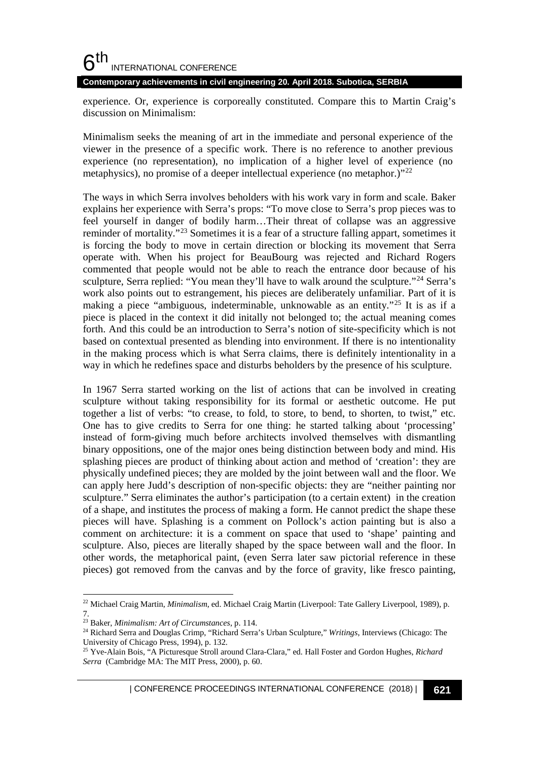**Contemporary achievements in civil engineering 20. April 2018. Subotica, SERBIA**

experience. Or, experience is corporeally constituted. Compare this to Martin Craig's discussion on Minimalism:

Minimalism seeks the meaning of art in the immediate and personal experience of the viewer in the presence of a specific work. There is no reference to another previous experience (no representation), no implication of a higher level of experience (no metaphysics), no promise of a deeper intellectual experience (no metaphor.)"[22](#page-6-0)

The ways in which Serra involves beholders with his work vary in form and scale. Baker explains her experience with Serra's props: "To move close to Serra's prop pieces was to feel yourself in danger of bodily harm…Their threat of collapse was an aggressive reminder of mortality."[23](#page-6-1) Sometimes it is a fear of a structure falling appart, sometimes it is forcing the body to move in certain direction or blocking its movement that Serra operate with. When his project for BeauBourg was rejected and Richard Rogers commented that people would not be able to reach the entrance door because of his sculpture, Serra replied: "You mean they'll have to walk around the sculpture."[24](#page-6-2) Serra's work also points out to estrangement, his pieces are deliberately unfamiliar. Part of it is making a piece "ambiguous, indeterminable, unknowable as an entity."<sup>[25](#page-6-3)</sup> It is as if a piece is placed in the context it did initally not belonged to; the actual meaning comes forth. And this could be an introduction to Serra's notion of site-specificity which is not based on contextual presented as blending into environment. If there is no intentionality in the making process which is what Serra claims, there is definitely intentionality in a way in which he redefines space and disturbs beholders by the presence of his sculpture.

In 1967 Serra started working on the list of actions that can be involved in creating sculpture without taking responsibility for its formal or aesthetic outcome. He put together a list of verbs: "to crease, to fold, to store, to bend, to shorten, to twist," etc. One has to give credits to Serra for one thing: he started talking about 'processing' instead of form-giving much before architects involved themselves with dismantling binary oppositions, one of the major ones being distinction between body and mind. His splashing pieces are product of thinking about action and method of 'creation': they are physically undefined pieces; they are molded by the joint between wall and the floor. We can apply here Judd's description of non-specific objects: they are "neither painting nor sculpture." Serra eliminates the author's participation (to a certain extent) in the creation of a shape, and institutes the process of making a form. He cannot predict the shape these pieces will have. Splashing is a comment on Pollock's action painting but is also a comment on architecture: it is a comment on space that used to 'shape' painting and sculpture. Also, pieces are literally shaped by the space between wall and the floor. In other words, the metaphorical paint, (even Serra later saw pictorial reference in these pieces) got removed from the canvas and by the force of gravity, like fresco painting,

<span id="page-6-0"></span> <sup>22</sup> Michael Craig Martin, *Minimalism*, ed. Michael Craig Martin (Liverpool: Tate Gallery Liverpool, 1989), p. 7.

<span id="page-6-1"></span><sup>23</sup> Baker, *Minimalism: Art of Circumstances*, p. 114.

<span id="page-6-2"></span><sup>24</sup> Richard Serra and Douglas Crimp, "Richard Serra's Urban Sculpture," *Writings*, Interviews (Chicago: The University of Chicago Press, 1994), p. 132.

<span id="page-6-3"></span><sup>25</sup> Yve-Alain Bois, "A Picturesque Stroll around Clara-Clara," ed. Hall Foster and Gordon Hughes, *Richard Serra* (Cambridge MA: The MIT Press, 2000), p. 60.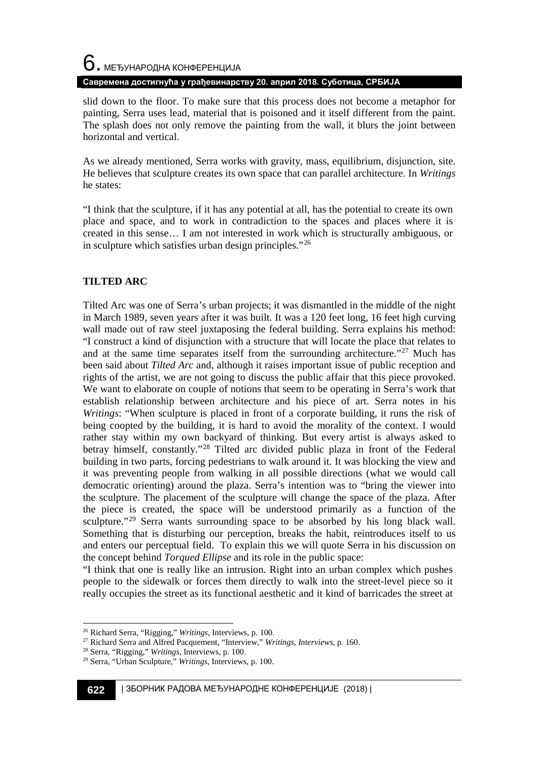# $6$ . међународна конференција **Савремена достигнућа у грађевинарству 20. април 2018. Суботица, СРБИЈА**

slid down to the floor. To make sure that this process does not become a metaphor for painting, Serra uses lead, material that is poisoned and it itself different from the paint. The splash does not only remove the painting from the wall, it blurs the joint between horizontal and vertical.

As we already mentioned, Serra works with gravity, mass, equilibrium, disjunction, site. He believes that sculpture creates its own space that can parallel architecture. In *Writings* he states:

"I think that the sculpture, if it has any potential at all, has the potential to create its own place and space, and to work in contradiction to the spaces and places where it is created in this sense… I am not interested in work which is structurally ambiguous, or in sculpture which satisfies urban design principles."[26](#page-7-0)

#### **TILTED ARC**

Tilted Arc was one of Serra's urban projects; it was dismantled in the middle of the night in March 1989, seven years after it was built. It was a 120 feet long, 16 feet high curving wall made out of raw steel juxtaposing the federal building. Serra explains his method: "I construct a kind of disjunction with a structure that will locate the place that relates to and at the same time separates itself from the surrounding architecture."<sup>[27](#page-7-1)</sup> Much has been said about *Tilted Arc* and, although it raises important issue of public reception and rights of the artist, we are not going to discuss the public affair that this piece provoked. We want to elaborate on couple of notions that seem to be operating in Serra's work that establish relationship between architecture and his piece of art. Serra notes in his *Writings*: "When sculpture is placed in front of a corporate building, it runs the risk of being coopted by the building, it is hard to avoid the morality of the context. I would rather stay within my own backyard of thinking. But every artist is always asked to betray himself, constantly."[28](#page-7-2) Tilted arc divided public plaza in front of the Federal building in two parts, forcing pedestrians to walk around it. It was blocking the view and it was preventing people from walking in all possible directions (what we would call democratic orienting) around the plaza. Serra's intention was to "bring the viewer into the sculpture. The placement of the sculpture will change the space of the plaza. After the piece is created, the space will be understood primarily as a function of the sculpture."<sup>[29](#page-7-3)</sup> Serra wants surrounding space to be absorbed by his long black wall. Something that is disturbing our perception, breaks the habit, reintroduces itself to us and enters our perceptual field. To explain this we will quote Serra in his discussion on the concept behind *Torqued Ellipse* and its role in the public space:

"I think that one is really like an intrusion. Right into an urban complex which pushes people to the sidewalk or forces them directly to walk into the street-level piece so it really occupies the street as its functional aesthetic and it kind of barricades the street at

<span id="page-7-0"></span> <sup>26</sup> Richard Serra, "Rigging," *Writings*, Interviews, p. 100.

<span id="page-7-1"></span><sup>27</sup> Richard Serra and Alfred Pacquement, "Interview," *Writings, Interviews*, p. 160.

<span id="page-7-2"></span><sup>28</sup> Serra, "Rigging," *Writings*, Interviews, p. 100.

<span id="page-7-3"></span><sup>29</sup> Serra, "Urban Sculpture," *Writings*, Interviews, p. 100.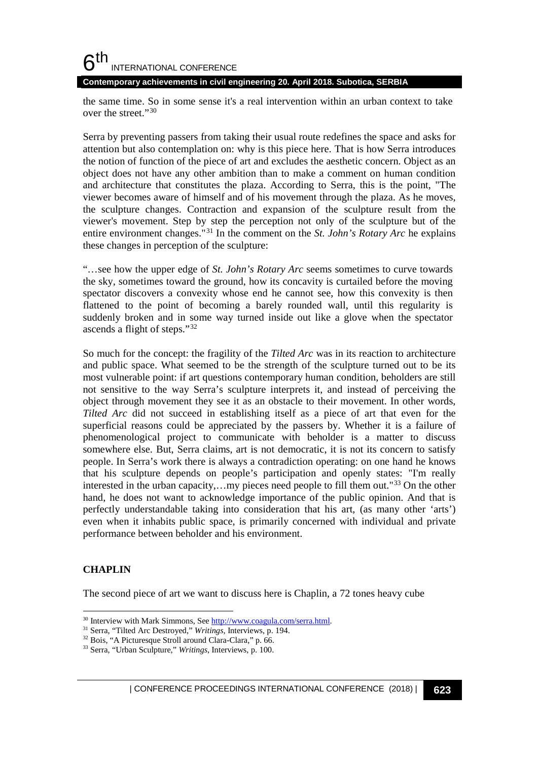**Contemporary achievements in civil engineering 20. April 2018. Subotica, SERBIA**

the same time. So in some sense it's a real intervention within an urban context to take over the street."[30](#page-8-0)

Serra by preventing passers from taking their usual route redefines the space and asks for attention but also contemplation on: why is this piece here. That is how Serra introduces the notion of function of the piece of art and excludes the aesthetic concern. Object as an object does not have any other ambition than to make a comment on human condition and architecture that constitutes the plaza. According to Serra, this is the point, "The viewer becomes aware of himself and of his movement through the plaza. As he moves, the sculpture changes. Contraction and expansion of the sculpture result from the viewer's movement. Step by step the perception not only of the sculpture but of the entire environment changes."[31](#page-8-1) In the comment on the *St. John's Rotary Arc* he explains these changes in perception of the sculpture:

"…see how the upper edge of *St. John's Rotary Arc* seems sometimes to curve towards the sky, sometimes toward the ground, how its concavity is curtailed before the moving spectator discovers a convexity whose end he cannot see, how this convexity is then flattened to the point of becoming a barely rounded wall, until this regularity is suddenly broken and in some way turned inside out like a glove when the spectator ascends a flight of steps."[32](#page-8-2)

So much for the concept: the fragility of the *Tilted Arc* was in its reaction to architecture and public space. What seemed to be the strength of the sculpture turned out to be its most vulnerable point: if art questions contemporary human condition, beholders are still not sensitive to the way Serra's sculpture interprets it, and instead of perceiving the object through movement they see it as an obstacle to their movement. In other words, *Tilted Arc* did not succeed in establishing itself as a piece of art that even for the superficial reasons could be appreciated by the passers by. Whether it is a failure of phenomenological project to communicate with beholder is a matter to discuss somewhere else. But, Serra claims, art is not democratic, it is not its concern to satisfy people. In Serra's work there is always a contradiction operating: on one hand he knows that his sculpture depends on people's participation and openly states: "I'm really interested in the urban capacity,...my pieces need people to fill them out."<sup>[33](#page-8-3)</sup> On the other hand, he does not want to acknowledge importance of the public opinion. And that is perfectly understandable taking into consideration that his art, (as many other 'arts') even when it inhabits public space, is primarily concerned with individual and private performance between beholder and his environment.

#### **CHAPLIN**

The second piece of art we want to discuss here is Chaplin, a 72 tones heavy cube

<span id="page-8-0"></span><sup>30</sup> Interview with Mark Simmons, Se[e http://www.coagula.com/serra.html.](http://www.coagula.com/serra.html) 31 Serra, "Tilted Arc Destroyed," *Writings*, Interviews, p. 194.

<span id="page-8-2"></span><span id="page-8-1"></span><sup>32</sup> Bois, "A Picturesque Stroll around Clara-Clara," p. 66.

<span id="page-8-3"></span><sup>33</sup> Serra, "Urban Sculpture," *Writings*, Interviews, p. 100.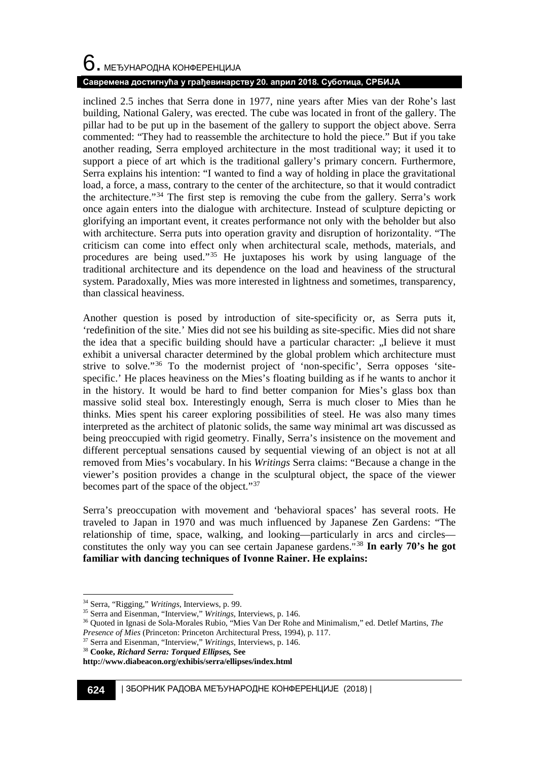# $6$ . међународна конференција

#### **Савремена достигнућа у грађевинарству 20. април 2018. Суботица, СРБИЈА**

inclined 2.5 inches that Serra done in 1977, nine years after Mies van der Rohe's last building, National Galery, was erected. The cube was located in front of the gallery. The pillar had to be put up in the basement of the gallery to support the object above. Serra commented: "They had to reassemble the architecture to hold the piece." But if you take another reading, Serra employed architecture in the most traditional way; it used it to support a piece of art which is the traditional gallery's primary concern. Furthermore, Serra explains his intention: "I wanted to find a way of holding in place the gravitational load, a force, a mass, contrary to the center of the architecture, so that it would contradict the architecture."[34](#page-9-0) The first step is removing the cube from the gallery. Serra's work once again enters into the dialogue with architecture. Instead of sculpture depicting or glorifying an important event, it creates performance not only with the beholder but also with architecture. Serra puts into operation gravity and disruption of horizontality. "The criticism can come into effect only when architectural scale, methods, materials, and procedures are being used."[35](#page-9-1) He juxtaposes his work by using language of the traditional architecture and its dependence on the load and heaviness of the structural system. Paradoxally, Mies was more interested in lightness and sometimes, transparency, than classical heaviness.

Another question is posed by introduction of site-specificity or, as Serra puts it, 'redefinition of the site.' Mies did not see his building as site-specific. Mies did not share the idea that a specific building should have a particular character: "I believe it must exhibit a universal character determined by the global problem which architecture must strive to solve."[36](#page-9-2) To the modernist project of 'non-specific', Serra opposes 'sitespecific.' He places heaviness on the Mies's floating building as if he wants to anchor it in the history. It would be hard to find better companion for Mies's glass box than massive solid steal box. Interestingly enough, Serra is much closer to Mies than he thinks. Mies spent his career exploring possibilities of steel. He was also many times interpreted as the architect of platonic solids, the same way minimal art was discussed as being preoccupied with rigid geometry. Finally, Serra's insistence on the movement and different perceptual sensations caused by sequential viewing of an object is not at all removed from Mies's vocabulary. In his *Writings* Serra claims: "Because a change in the viewer's position provides a change in the sculptural object, the space of the viewer becomes part of the space of the object."[37](#page-9-3)

Serra's preoccupation with movement and 'behavioral spaces' has several roots. He traveled to Japan in 1970 and was much influenced by Japanese Zen Gardens: "The relationship of time, space, walking, and looking—particularly in arcs and circles constitutes the only way you can see certain Japanese gardens."[38](#page-9-4) **In early 70's he got familiar with dancing techniques of Ivonne Rainer. He explains:**

<span id="page-9-3"></span><sup>37</sup> Serra and Eisenman, "Interview," *Writings*, Interviews, p. 146.

<span id="page-9-0"></span> <sup>34</sup> Serra, "Rigging," *Writings*, Interviews, p. 99.

<span id="page-9-1"></span><sup>35</sup> Serra and Eisenman, "Interview," *Writings*, Interviews, p. 146.

<span id="page-9-2"></span><sup>36</sup> Quoted in Ignasi de Sola-Morales Rubio, "Mies Van Der Rohe and Minimalism," ed. Detlef Martins, *The* 

*Presence of Mies* (Princeton: Princeton Architectural Press, 1994), p. 117.

<span id="page-9-4"></span><sup>38</sup> **Cooke,** *Richard Serra: Torqued Ellipses,* **See** 

**http://www.diabeacon.org/exhibis/serra/ellipses/index.html**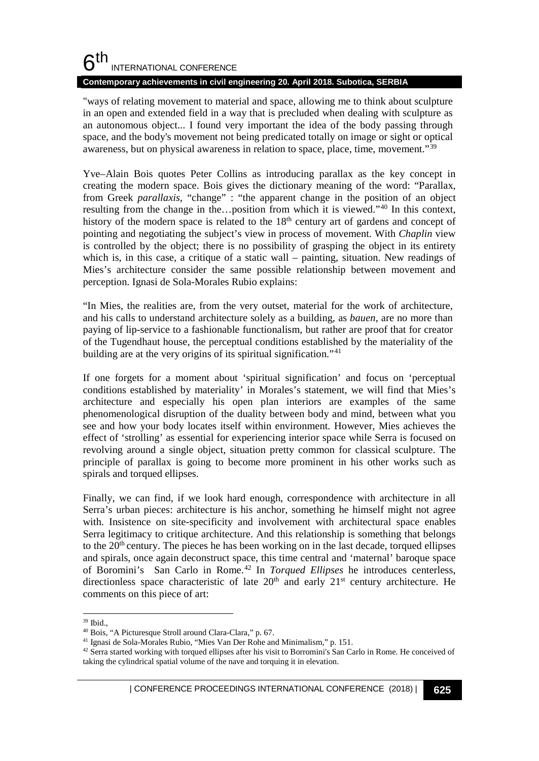#### **Contemporary achievements in civil engineering 20. April 2018. Subotica, SERBIA**

"ways of relating movement to material and space, allowing me to think about sculpture in an open and extended field in a way that is precluded when dealing with sculpture as an autonomous object... I found very important the idea of the body passing through space, and the body's movement not being predicated totally on image or sight or optical awareness, but on physical awareness in relation to space, place, time, movement."[39](#page-10-0)

Yve–Alain Bois quotes Peter Collins as introducing parallax as the key concept in creating the modern space. Bois gives the dictionary meaning of the word: "Parallax, from Greek *parallaxis,* "change" : "the apparent change in the position of an object resulting from the change in the…position from which it is viewed."[40](#page-10-1) In this context, history of the modern space is related to the  $18<sup>th</sup>$  century art of gardens and concept of pointing and negotiating the subject's view in process of movement. With *Chaplin* view is controlled by the object; there is no possibility of grasping the object in its entirety which is, in this case, a critique of a static wall – painting, situation. New readings of Mies's architecture consider the same possible relationship between movement and perception. Ignasi de Sola-Morales Rubio explains:

"In Mies, the realities are, from the very outset, material for the work of architecture, and his calls to understand architecture solely as a building, as *bauen*, are no more than paying of lip-service to a fashionable functionalism, but rather are proof that for creator of the Tugendhaut house, the perceptual conditions established by the materiality of the building are at the very origins of its spiritual signification."<sup>[41](#page-10-2)</sup>

If one forgets for a moment about 'spiritual signification' and focus on 'perceptual conditions established by materiality' in Morales's statement, we will find that Mies's architecture and especially his open plan interiors are examples of the same phenomenological disruption of the duality between body and mind, between what you see and how your body locates itself within environment. However, Mies achieves the effect of 'strolling' as essential for experiencing interior space while Serra is focused on revolving around a single object, situation pretty common for classical sculpture. The principle of parallax is going to become more prominent in his other works such as spirals and torqued ellipses.

Finally, we can find, if we look hard enough, correspondence with architecture in all Serra's urban pieces: architecture is his anchor, something he himself might not agree with. Insistence on site-specificity and involvement with architectural space enables Serra legitimacy to critique architecture. And this relationship is something that belongs to the  $20<sup>th</sup>$  century. The pieces he has been working on in the last decade, torqued ellipses and spirals, once again deconstruct space, this time central and 'maternal' baroque space of Boromini's San Carlo in Rome.[42](#page-10-3) In *Torqued Ellipses* he introduces centerless, directionless space characteristic of late 20<sup>th</sup> and early 21<sup>st</sup> century architecture. He comments on this piece of art:

<span id="page-10-0"></span> <sup>39</sup> Ibid.,

<span id="page-10-1"></span><sup>40</sup> Bois, "A Picturesque Stroll around Clara-Clara," p. 67.

<span id="page-10-2"></span><sup>41</sup> Ignasi de Sola-Morales Rubio, "Mies Van Der Rohe and Minimalism," p. 151.

<span id="page-10-3"></span><sup>&</sup>lt;sup>42</sup> Serra started working with torqued ellipses after his visit to Borromini's San Carlo in Rome. He conceived of taking the cylindrical spatial volume of the nave and torquing it in elevation.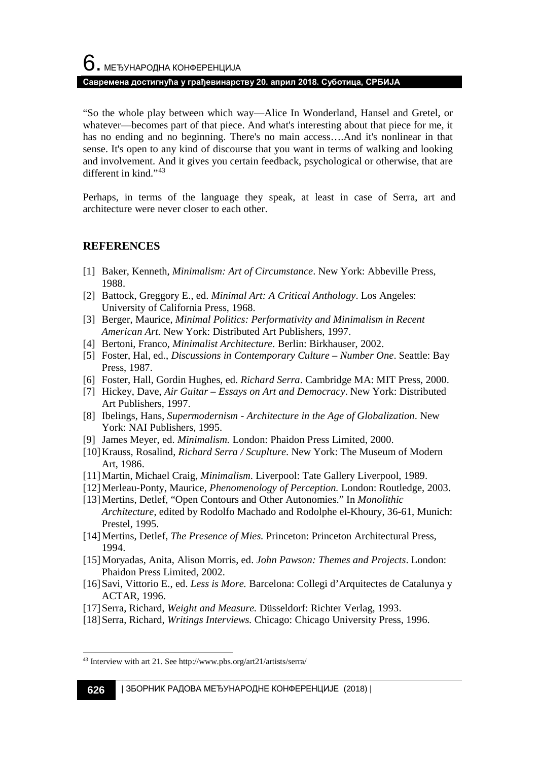"So the whole play between which way—Alice In Wonderland, Hansel and Gretel, or whatever—becomes part of that piece. And what's interesting about that piece for me, it has no ending and no beginning. There's no main access….And it's nonlinear in that sense. It's open to any kind of discourse that you want in terms of walking and looking and involvement. And it gives you certain feedback, psychological or otherwise, that are different in kind."[43](#page-11-0)

Perhaps, in terms of the language they speak, at least in case of Serra, art and architecture were never closer to each other.

#### **REFERENCES**

- [1] Baker, Kenneth, *Minimalism: Art of Circumstance*. New York: Abbeville Press, 1988.
- [2] Battock, Greggory E., ed. *Minimal Art: A Critical Anthology*. Los Angeles: University of California Press, 1968.
- [3] Berger, Maurice, *Minimal Politics: Performativity and Minimalism in Recent American Art.* New York: Distributed Art Publishers, 1997.
- [4] Bertoni, Franco, *Minimalist Architecture*. Berlin: Birkhauser, 2002.
- [5] Foster, Hal, ed., *Discussions in Contemporary Culture – Number One*. Seattle: Bay Press, 1987.
- [6] Foster, Hall, Gordin Hughes, ed. *Richard Serra*. Cambridge MA: MIT Press, 2000.
- [7] Hickey, Dave, *Air Guitar – Essays on Art and Democracy*. New York: Distributed Art Publishers, 1997.
- [8] Ibelings, Hans, *Supermodernism - Architecture in the Age of Globalization*. New York: NAI Publishers, 1995.
- [9] James Meyer, ed. *Minimalism.* London: Phaidon Press Limited, 2000.
- [10]Krauss, Rosalind, *Richard Serra / Scuplture*. New York: The Museum of Modern Art, 1986.
- [11]Martin, Michael Craig, *Minimalism*. Liverpool: Tate Gallery Liverpool, 1989.
- [12]Merleau-Ponty, Maurice, *Phenomenology of Perception.* London: Routledge, 2003.
- [13]Mertins, Detlef, "Open Contours and Other Autonomies." In *Monolithic Architecture*, edited by Rodolfo Machado and Rodolphe el-Khoury, 36-61, Munich: Prestel, 1995.
- [14]Mertins, Detlef, *The Presence of Mies.* Princeton: Princeton Architectural Press, 1994.
- [15]Moryadas, Anita, Alison Morris, ed. *John Pawson: Themes and Projects*. London: Phaidon Press Limited, 2002.
- [16]Savi, Vittorio E., ed. *Less is More.* Barcelona: Collegi d'Arquitectes de Catalunya y ACTAR, 1996.
- [17]Serra, Richard, *Weight and Measure.* Düsseldorf: Richter Verlag, 1993.
- [18]Serra, Richard, *Writings Interviews.* Chicago: Chicago University Press, 1996.

<span id="page-11-0"></span> <sup>43</sup> Interview with art 21. See http://www.pbs.org/art21/artists/serra/